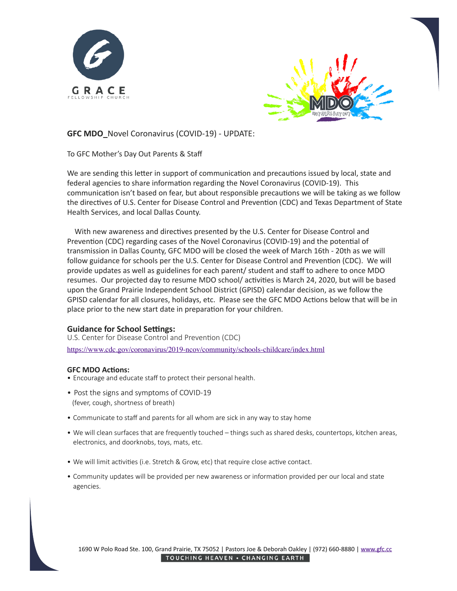



**GFC MDO** Novel Coronavirus (COVID-19) - UPDATE:

To GFC Mother's Day Out Parents & Staff

We are sending this letter in support of communication and precautions issued by local, state and federal agencies to share information regarding the Novel Coronavirus (COVID-19). This communication isn't based on fear, but about responsible precautions we will be taking as we follow the directives of U.S. Center for Disease Control and Prevention (CDC) and Texas Department of State Health Services, and local Dallas County.

With new awareness and directives presented by the U.S. Center for Disease Control and Prevention (CDC) regarding cases of the Novel Coronavirus (COVID-19) and the potential of transmission in Dallas County, GFC MDO will be closed the week of March 16th - 20th as we will follow guidance for schools per the U.S. Center for Disease Control and Prevention (CDC). We will provide updates as well as guidelines for each parent/ student and staff to adhere to once MDO resumes. Our projected day to resume MDO school/ activities is March 24, 2020, but will be based upon the Grand Prairie Independent School District (GPISD) calendar decision, as we follow the GPISD calendar for all closures, holidays, etc. Please see the GFC MDO Actions below that will be in place prior to the new start date in preparation for your children.

## **Guidance for School Settings:**

U.S. Center for Disease Control and Prevention (CDC)

<https://www.cdc.gov/coronavirus/2019-ncov/community/schools-childcare/index.html>

## **GFC MDO Actions:**

- Encourage and educate staff to [protect their personal health.](https://www.cdc.gov/coronavirus/2019-ncov/about/prevention.html)
- Post the signs and symptoms of COVID-19 (fever, cough, shortness of breath)
- Communicate to staff and parents for all whom are sick in any way to stay home
- We will clean surfaces that are frequently touched things such as shared desks, countertops, kitchen areas, electronics, and doorknobs, toys, mats, etc.
- We will limit activities (i.e. Stretch & Grow, etc) that require close active contact.
- Community updates will be provided per new awareness or information provided per our local and state agencies.